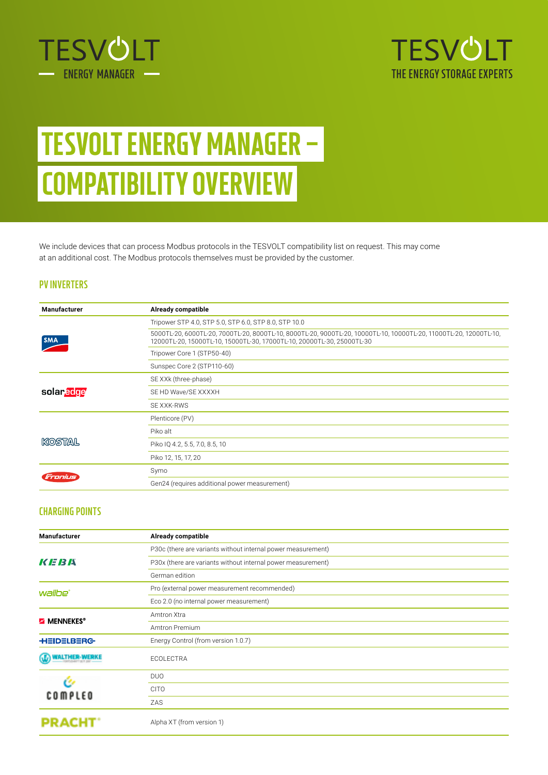



# TESVOLT ENERGY MANAGER – COMPATIBILITY OVERVIEW

We include devices that can process Modbus protocols in the TESVOLT compatibility list on request. This may come at an additional cost. The Modbus protocols themselves must be provided by the customer.

#### **PV INVERTERS**

| Manufacturer | Already compatible                                                                                                                                                                          |
|--------------|---------------------------------------------------------------------------------------------------------------------------------------------------------------------------------------------|
| <b>SMA</b>   | Tripower STP 4.0, STP 5.0, STP 6.0, STP 8.0, STP 10.0                                                                                                                                       |
|              | 5000TL-20, 6000TL-20, 7000TL-20, 8000TL-10, 8000TL-20, 9000TL-20, 10000TL-10, 10000TL-20, 11000TL-20, 12000TL-10,<br>12000TL-20, 15000TL-10, 15000TL-30, 17000TL-10, 20000TL-30, 25000TL-30 |
|              | Tripower Core 1 (STP50-40)                                                                                                                                                                  |
|              | Sunspec Core 2 (STP110-60)                                                                                                                                                                  |
| solaredge    | SE XXk (three-phase)                                                                                                                                                                        |
|              | SE HD Wave/SE XXXXH                                                                                                                                                                         |
|              | SE XXK-RWS                                                                                                                                                                                  |
| KOSTAL       | Plenticore (PV)                                                                                                                                                                             |
|              | Piko alt                                                                                                                                                                                    |
|              | Piko IQ 4.2, 5.5, 7.0, 8.5, 10                                                                                                                                                              |
|              | Piko 12, 15, 17, 20                                                                                                                                                                         |
| Tronius      | Symo                                                                                                                                                                                        |
|              | Gen24 (requires additional power measurement)                                                                                                                                               |

## **CHARGING POINTS**

| <b>Manufacturer</b> | <b>Already compatible</b>                                    |
|---------------------|--------------------------------------------------------------|
| KEBA                | P30c (there are variants without internal power measurement) |
|                     | P30x (there are variants without internal power measurement) |
|                     | German edition                                               |
| wallbe'             | Pro (external power measurement recommended)                 |
|                     | Eco 2.0 (no internal power measurement)                      |
| <b>MENNEKES®</b>    | Amtron Xtra                                                  |
|                     | Amtron Premium                                               |
| <b>HEIDELBERG</b>   | Energy Control (from version 1.0.7)                          |
|                     | ECOLECTRA                                                    |
| <b>COMPLEO</b>      | <b>DUO</b>                                                   |
|                     | <b>CITO</b>                                                  |
|                     | ZAS                                                          |
| <b>PRA</b>          | Alpha XT (from version 1)                                    |